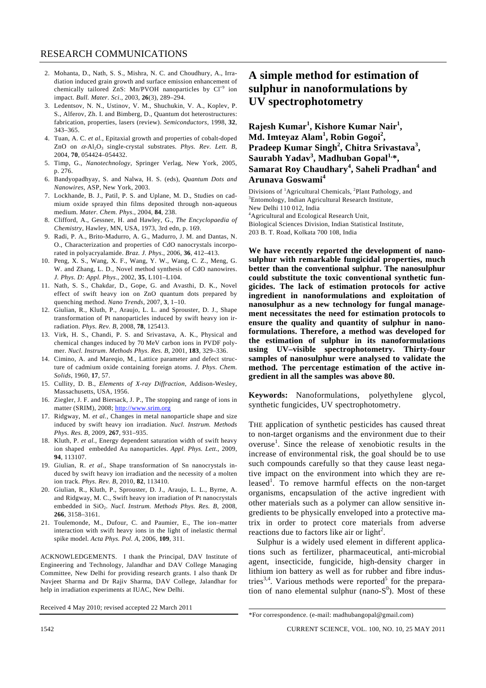- 2. Mohanta, D., Nath, S. S., Mishra, N. C. and Choudhury, A., Irradiation induced grain growth and surface emission enhancement of chemically tailored ZnS: Mn/PVOH nanoparticles by  $Cl<sup>+9</sup>$  ion impact. *Bull. Mater. Sci*., 2003, **26**(3), 289–294.
- 3. Ledentsov, N. N., Ustinov, V. M., Shuchukin, V. A., Koplev, P. S., Alferov, Zh. I. and Bimberg, D., Quantum dot heterostructures: fabrication, properties, lasers (review). *Semiconductors*, 1998, **32**, 343–365.
- 4. Tuan, A. C. *et al.*, Epitaxial growth and properties of cobalt-doped ZnO on  $\alpha$ -Al<sub>2</sub>O<sub>3</sub> single-crystal substrates. *Phys. Rev. Lett. B*, 2004, **70**, 054424–054432.
- 5. Timp, G., *Nanotechnology*, Springer Verlag, New York, 2005, p. 276.
- 6. Bandyopadhyay, S. and Nalwa, H. S. (eds), *Quantum Dots and Nanowires*, ASP, New York, 2003.
- 7. Lockhande, B. J., Patil, P. S. and Uplane, M. D., Studies on cadmium oxide sprayed thin films deposited through non-aqueous medium. *Mater. Chem. Phys*., 2004, **84**, 238.
- 8. Clifford, A., Gessner, H. and Hawley, G., *The Encyclopaedia of Chemistry*, Hawley, MN, USA, 1973, 3rd edn, p. 169.
- 9. Radi, P. A., Brito-Madurro, A. G., Madurro, J. M. and Dantas, N. O., Characterization and properties of CdO nanocrystals incorporated in polyacryalamide. *Braz. J. Phys*., 2006, **36**, 412–413.
- 10. Peng, X. S., Wang, X. F., Wang, Y. W., Wang, C. Z., Meng, G. W. and Zhang, L. D., Novel method synthesis of CdO nanowires. *J. Phys. D: Appl. Phys*., 2002, **35**, L101–L104.
- 11. Nath, S. S., Chakdar, D., Gope, G. and Avasthi, D. K., Novel effect of swift heavy ion on ZnO quantum dots prepared by quenching method. *Nano Trends*, 2007, **3**, 1–10.
- 12. Giulian, R., Kluth, P., Araujo, L. L. and Sprouster, D. J., Shape transformation of Pt nanoparticles induced by swift heavy ion irradiation. *Phys. Rev. B*, 2008, **78**, 125413.
- 13. Virk, H. S., Chandi, P. S. and Srivastava, A. K., Physical and chemical changes induced by 70 MeV carbon ions in PVDF polymer. *Nucl. Instrum*. *Methods Phys*. *Res. B*, 2001, **183**, 329–336.
- 14. Cimino, A. and Mareqio, M., Lattice parameter and defect structure of cadmium oxide containing foreign atoms. *J. Phys. Chem. Solids*, 1960, **17**, 57.
- 15. Cullity, D. B., *Elements of X-ray Diffraction*, Addison-Wesley, Massachusetts, USA, 1956.
- 16. Ziegler, J. F. and Biersack, J. P., The stopping and range of ions in matter (SRIM), 2008; http://www.srim.org
- 17. Ridgway, M. *et al.*, Changes in metal nanoparticle shape and size induced by swift heavy ion irradiation. *Nucl. Instrum. Methods Phys. Res. B*, 2009, **267**, 931–935.
- 18. Kluth, P. *et al.*, Energy dependent saturation width of swift heavy ion shaped embedded Au nanoparticles. *Appl. Phys. Lett*., 2009, **94**, 113107.
- 19. Giulian, R. *et al*., Shape transformation of Sn nanocrystals induced by swift heavy ion irradiation and the necessity of a molten ion track. *Phys. Rev. B*, 2010, **82**, 113410.
- 20. Giulian, R., Kluth, P., Sprouster, D. J., Araujo, L. L., Byrne, A. and Ridgway, M. C., Swift heavy ion irradiation of Pt nanocrystals embedded in SiO<sub>2</sub>. *Nucl. Instrum. Methods Phys. Res. B*, 2008, **266**, 3158–3161.
- 21. Toulemonde, M., Dufour, C. and Paumier, E., The ion–matter interaction with swift heavy ions in the light of inelastic thermal spike model. *Acta Phys. Pol. A*, 2006, **109**, 311.

ACKNOWLEDGEMENTS. I thank the Principal, DAV Institute of Engineering and Technology, Jalandhar and DAV College Managing Committee, New Delhi for providing research grants. I also thank Dr Navjeet Sharma and Dr Rajiv Sharma, DAV College, Jalandhar for help in irradiation experiments at IUAC, New Delhi.

Received 4 May 2010; revised accepted 22 March 2011

## **A simple method for estimation of sulphur in nanoformulations by UV spectrophotometry**

**Rajesh Kumar<sup>1</sup> , Kishore Kumar Nair<sup>1</sup> , Md. Imteyaz Alam<sup>1</sup> , Robin Gogoi<sup>2</sup> , Pradeep Kumar Singh<sup>2</sup> , Chitra Srivastava<sup>3</sup> ,**  Saurabh Yadav<sup>3</sup>, Madhuban Gopal<sup>1,</sup>\*, **Samarat Roy Chaudhary<sup>4</sup> , Saheli Pradhan<sup>4</sup> and Arunava Goswami<sup>4</sup>**

Divisions of <sup>1</sup>Agricultural Chemicals, <sup>2</sup>Plant Pathology, and <sup>3</sup>Entemplogy, Indian Agricultural Because Institute Entomology, Indian Agricultural Research Institute, New Delhi 110 012, India <sup>4</sup> Agricultural and Ecological Research Unit, Biological Sciences Division, Indian Statistical Institute,

203 B. T. Road, Kolkata 700 108, India

**We have recently reported the development of nanosulphur with remarkable fungicidal properties, much better than the conventional sulphur. The nanosulphur could substitute the toxic conventional synthetic fungicides. The lack of estimation protocols for active ingredient in nanoformulations and exploitation of nanosulphur as a new technology for fungal management necessitates the need for estimation protocols to ensure the quality and quantity of sulphur in nanoformulations. Therefore, a method was developed for the estimation of sulphur in its nanoformulations using UV–visible spectrophotometry. Thirty-four samples of nanosulphur were analysed to validate the method. The percentage estimation of the active ingredient in all the samples was above 80.** 

**Keywords:** Nanoformulations, polyethylene glycol, synthetic fungicides, UV spectrophotometry.

THE application of synthetic pesticides has caused threat to non-target organisms and the environment due to their overuse<sup>1</sup>. Since the release of xenobiotic results in the increase of environmental risk, the goal should be to use such compounds carefully so that they cause least negative impact on the environment into which they are released<sup>1</sup>. To remove harmful effects on the non-target organisms, encapsulation of the active ingredient with other materials such as a polymer can allow sensitive ingredients to be physically enveloped into a protective matrix in order to protect core materials from adverse reactions due to factors like air or light<sup>2</sup>.

 Sulphur is a widely used element in different applications such as fertilizer, pharmaceutical, anti-microbial agent, insecticide, fungicide, high-density charger in lithium ion battery as well as for rubber and fibre industries<sup>3,4</sup>. Various methods were reported<sup>5</sup> for the preparation of nano elemental sulphur (nano- $S^0$ ). Most of these

<sup>\*</sup>For correspondence. (e-mail: madhubangopal@gmail.com)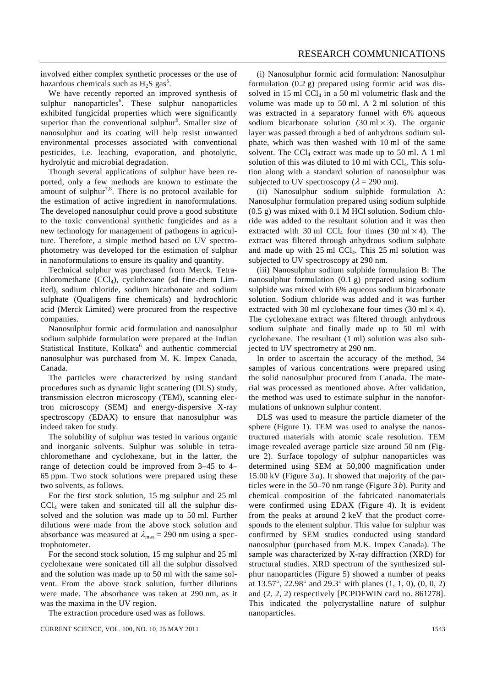involved either complex synthetic processes or the use of hazardous chemicals such as  $H_2S$  gas<sup>5</sup>.

 We have recently reported an improved synthesis of sulphur nanoparticles<sup>6</sup>. These sulphur nanoparticles exhibited fungicidal properties which were significantly superior than the conventional sulphur<sup>6</sup>. Smaller size of nanosulphur and its coating will help resist unwanted environmental processes associated with conventional pesticides, i.e. leaching, evaporation, and photolytic, hydrolytic and microbial degradation.

 Though several applications of sulphur have been reported, only a few methods are known to estimate the amount of sulphur<sup>7,8</sup>. There is no protocol available for the estimation of active ingredient in nanoformulations. The developed nanosulphur could prove a good substitute to the toxic conventional synthetic fungicides and as a new technology for management of pathogens in agriculture. Therefore, a simple method based on UV spectrophotometry was developed for the estimation of sulphur in nanoformulations to ensure its quality and quantity.

 Technical sulphur was purchased from Merck. Tetrachloromethane  $(CCl<sub>4</sub>)$ , cyclohexane (sd fine-chem Limited), sodium chloride, sodium bicarbonate and sodium sulphate (Qualigens fine chemicals) and hydrochloric acid (Merck Limited) were procured from the respective companies.

 Nanosulphur formic acid formulation and nanosulphur sodium sulphide formulation were prepared at the Indian Statistical Institute, Kolkata<sup>6</sup> and authentic commercial nanosulphur was purchased from M. K. Impex Canada, Canada.

 The particles were characterized by using standard procedures such as dynamic light scattering (DLS) study, transmission electron microscopy (TEM), scanning electron microscopy (SEM) and energy-dispersive X-ray spectroscopy (EDAX) to ensure that nanosulphur was indeed taken for study.

 The solubility of sulphur was tested in various organic and inorganic solvents. Sulphur was soluble in tetrachloromethane and cyclohexane, but in the latter, the range of detection could be improved from 3–45 to 4– 65 ppm. Two stock solutions were prepared using these two solvents, as follows.

 For the first stock solution, 15 mg sulphur and 25 ml  $CCl<sub>4</sub>$  were taken and sonicated till all the sulphur dissolved and the solution was made up to 50 ml. Further dilutions were made from the above stock solution and absorbance was measured at  $\lambda_{\text{max}} = 290$  nm using a spectrophotometer.

 For the second stock solution, 15 mg sulphur and 25 ml cyclohexane were sonicated till all the sulphur dissolved and the solution was made up to 50 ml with the same solvent. From the above stock solution, further dilutions were made. The absorbance was taken at 290 nm, as it was the maxima in the UV region.

The extraction procedure used was as follows.

 (i) Nanosulphur formic acid formulation: Nanosulphur formulation (0.2 g) prepared using formic acid was dissolved in 15 ml  $\text{CCl}_4$  in a 50 ml volumetric flask and the volume was made up to 50 ml. A 2 ml solution of this was extracted in a separatory funnel with 6% aqueous sodium bicarbonate solution  $(30 \text{ ml} \times 3)$ . The organic layer was passed through a bed of anhydrous sodium sulphate, which was then washed with 10 ml of the same solvent. The CCl<sub>4</sub> extract was made up to 50 ml. A 1 ml solution of this was diluted to 10 ml with  $\text{CCI}_4$ . This solution along with a standard solution of nanosulphur was subjected to UV spectroscopy ( $\lambda = 290$  nm).

 (ii) Nanosulphur sodium sulphide formulation A: Nanosulphur formulation prepared using sodium sulphide  $(0.5 \text{ g})$  was mixed with 0.1 M HCl solution. Sodium chloride was added to the resultant solution and it was then extracted with 30 ml CCl<sub>4</sub> four times (30 ml  $\times$  4). The extract was filtered through anhydrous sodium sulphate and made up with  $25$  ml CCl<sub>4</sub>. This  $25$  ml solution was subjected to UV spectroscopy at 290 nm.

 (iii) Nanosulphur sodium sulphide formulation B: The nanosulphur formulation (0.1 g) prepared using sodium sulphide was mixed with 6% aqueous sodium bicarbonate solution. Sodium chloride was added and it was further extracted with 30 ml cyclohexane four times (30 ml  $\times$  4). The cyclohexane extract was filtered through anhydrous sodium sulphate and finally made up to 50 ml with cyclohexane. The resultant (1 ml) solution was also subjected to UV spectrometry at 290 nm.

 In order to ascertain the accuracy of the method, 34 samples of various concentrations were prepared using the solid nanosulphur procured from Canada. The material was processed as mentioned above. After validation, the method was used to estimate sulphur in the nanoformulations of unknown sulphur content.

 DLS was used to measure the particle diameter of the sphere (Figure 1). TEM was used to analyse the nanostructured materials with atomic scale resolution. TEM image revealed average particle size around 50 nm (Figure 2). Surface topology of sulphur nanoparticles was determined using SEM at 50,000 magnification under 15.00 kV (Figure 3 *a*). It showed that majority of the particles were in the 50–70 nm range (Figure 3 *b*). Purity and chemical composition of the fabricated nanomaterials were confirmed using EDAX (Figure 4). It is evident from the peaks at around 2 keV that the product corresponds to the element sulphur. This value for sulphur was confirmed by SEM studies conducted using standard nanosulphur (purchased from M.K. Impex Canada). The sample was characterized by X-ray diffraction (XRD) for structural studies. XRD spectrum of the synthesized sulphur nanoparticles (Figure 5) showed a number of peaks at 13.57°, 22.98° and 29.3° with planes (1, 1, 0), (0, 0, 2) and (2, 2, 2) respectively [PCPDFWIN card no. 861278]. This indicated the polycrystalline nature of sulphur nanoparticles.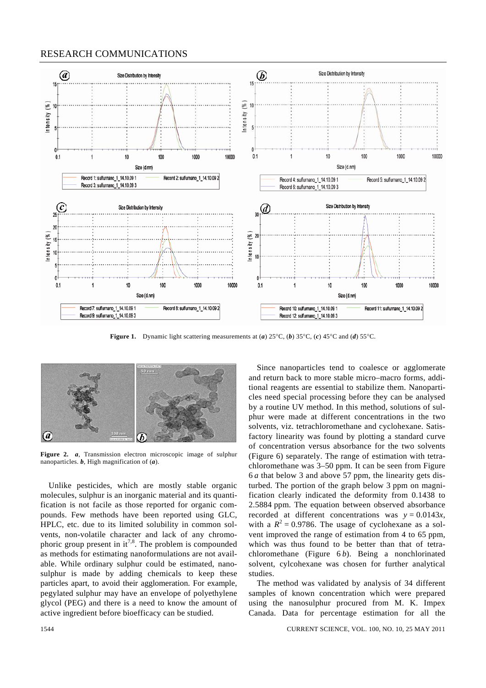## RESEARCH COMMUNICATIONS



**Figure 1.** Dynamic light scattering measurements at (*a*) 25°C, (*b*) 35°C, (*c*) 45°C and (*d*) 55°C.



**Figure 2.** *a*, Transmission electron microscopic image of sulphur nanoparticles. *b*, High magnification of (*a*).

 Unlike pesticides, which are mostly stable organic molecules, sulphur is an inorganic material and its quantification is not facile as those reported for organic compounds. Few methods have been reported using GLC, HPLC, etc. due to its limited solubility in common solvents, non-volatile character and lack of any chromophoric group present in  $it^{7,8}$ . The problem is compounded as methods for estimating nanoformulations are not available. While ordinary sulphur could be estimated, nanosulphur is made by adding chemicals to keep these particles apart, to avoid their agglomeration. For example, pegylated sulphur may have an envelope of polyethylene glycol (PEG) and there is a need to know the amount of active ingredient before bioefficacy can be studied.

 Since nanoparticles tend to coalesce or agglomerate and return back to more stable micro–macro forms, additional reagents are essential to stabilize them. Nanoparticles need special processing before they can be analysed by a routine UV method. In this method, solutions of sulphur were made at different concentrations in the two solvents, viz. tetrachloromethane and cyclohexane. Satisfactory linearity was found by plotting a standard curve of concentration versus absorbance for the two solvents (Figure 6) separately. The range of estimation with tetrachloromethane was 3–50 ppm. It can be seen from Figure 6 *a* that below 3 and above 57 ppm, the linearity gets disturbed. The portion of the graph below 3 ppm on magnification clearly indicated the deformity from 0.1438 to 2.5884 ppm. The equation between observed absorbance recorded at different concentrations was  $y = 0.0143x$ , with a  $R^2 = 0.9786$ . The usage of cyclohexane as a solvent improved the range of estimation from 4 to 65 ppm, which was thus found to be better than that of tetrachloromethane (Figure 6 *b*). Being a nonchlorinated solvent, cylcohexane was chosen for further analytical studies.

 The method was validated by analysis of 34 different samples of known concentration which were prepared using the nanosulphur procured from M. K. Impex Canada. Data for percentage estimation for all the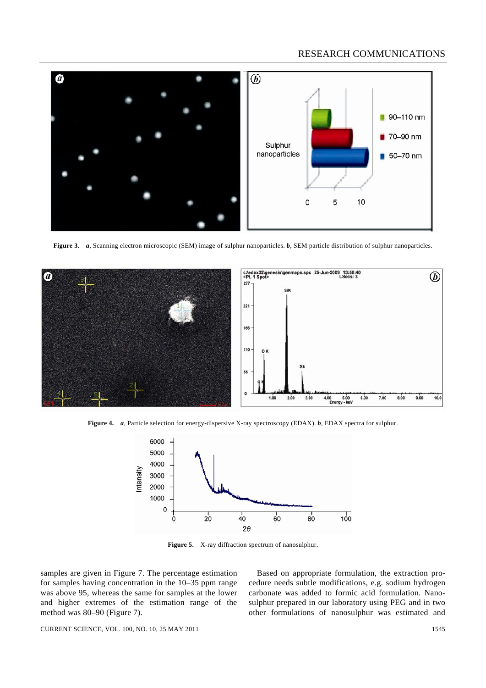## RESEARCH COMMUNICATIONS



**Figure 3.** *a*, Scanning electron microscopic (SEM) image of sulphur nanoparticles. *b*, SEM particle distribution of sulphur nanoparticles.



**Figure 4.** *a*, Particle selection for energy-dispersive X-ray spectroscopy (EDAX). *b*, EDAX spectra for sulphur.



**Figure 5.** X-ray diffraction spectrum of nanosulphur.

samples are given in Figure 7. The percentage estimation for samples having concentration in the 10–35 ppm range was above 95, whereas the same for samples at the lower and higher extremes of the estimation range of the method was 80–90 (Figure 7).

 Based on appropriate formulation, the extraction procedure needs subtle modifications, e.g. sodium hydrogen carbonate was added to formic acid formulation. Nanosulphur prepared in our laboratory using PEG and in two other formulations of nanosulphur was estimated and

CURRENT SCIENCE, VOL. 100, NO. 10, 25 MAY 2011 1545